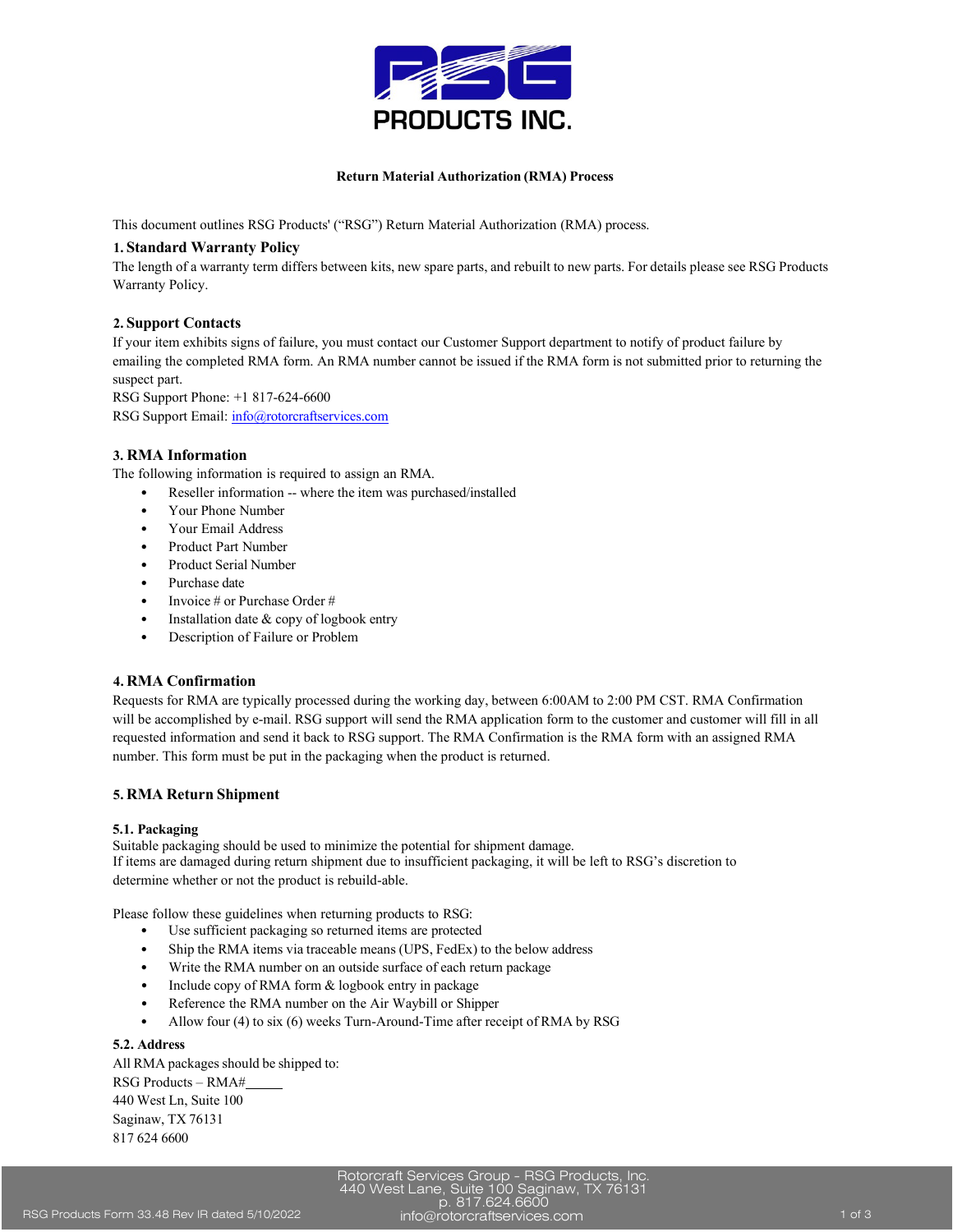

### **Return Material Authorization (RMA) Process**

This document outlines RSG Products' ("RSG") Return Material Authorization (RMA) process.

### **1. Standard Warranty Policy**

The length of a warranty term differs between kits, new spare parts, and rebuilt to new parts. For details please see RSG Products Warranty Policy.

# **2. Support Contacts**

If your item exhibits signs of failure, you must contact our Customer Support department to notify of product failure by emailing the completed RMA form. An RMA number cannot be issued if the RMA form is not submitted prior to returning the suspect part.

RSG Support Phone: +1 817-624-6600

RSG Support Email: [info@rotorcraftservices.com](mailto:info@rotorcraftservices.com)

# **3. RMA Information**

The following information is required to assign an RMA.

- Reseller information -- where the item was purchased/installed
- Your Phone Number
- Your Email Address
- Product Part Number
- Product Serial Number
- Purchase date
- Invoice # or Purchase Order #
- Installation date & copy of logbook entry
- Description of Failure or Problem

# **4. RMA Confirmation**

Requests for RMA are typically processed during the working day, between 6:00AM to 2:00 PM CST. RMA Confirmation will be accomplished by e-mail. RSG support will send the RMA application form to the customer and customer will fill in all requested information and send it back to RSG support. The RMA Confirmation is the RMA form with an assigned RMA number. This form must be put in the packaging when the product is returned.

# **5. RMA Return Shipment**

# **5.1. Packaging**

Suitable packaging should be used to minimize the potential for shipment damage. If items are damaged during return shipment due to insufficient packaging, it will be left to RSG's discretion to determine whether or not the product is rebuild-able.

Please follow these guidelines when returning products to RSG:

- Use sufficient packaging so returned items are protected
- Ship the RMA items via traceable means (UPS, FedEx) to the below address
- Write the RMA number on an outside surface of each return package
- Include copy of RMA form & logbook entry in package
- Reference the RMA number on the Air Waybill or Shipper
- Allow four (4) to six (6) weeks Turn-Around-Time after receipt of RMA by RSG

# **5.2. Address**

All RMA packages should be shipped to: RSG Products – RMA# 440 West Ln, Suite 100 Saginaw, TX 76131 817 624 6600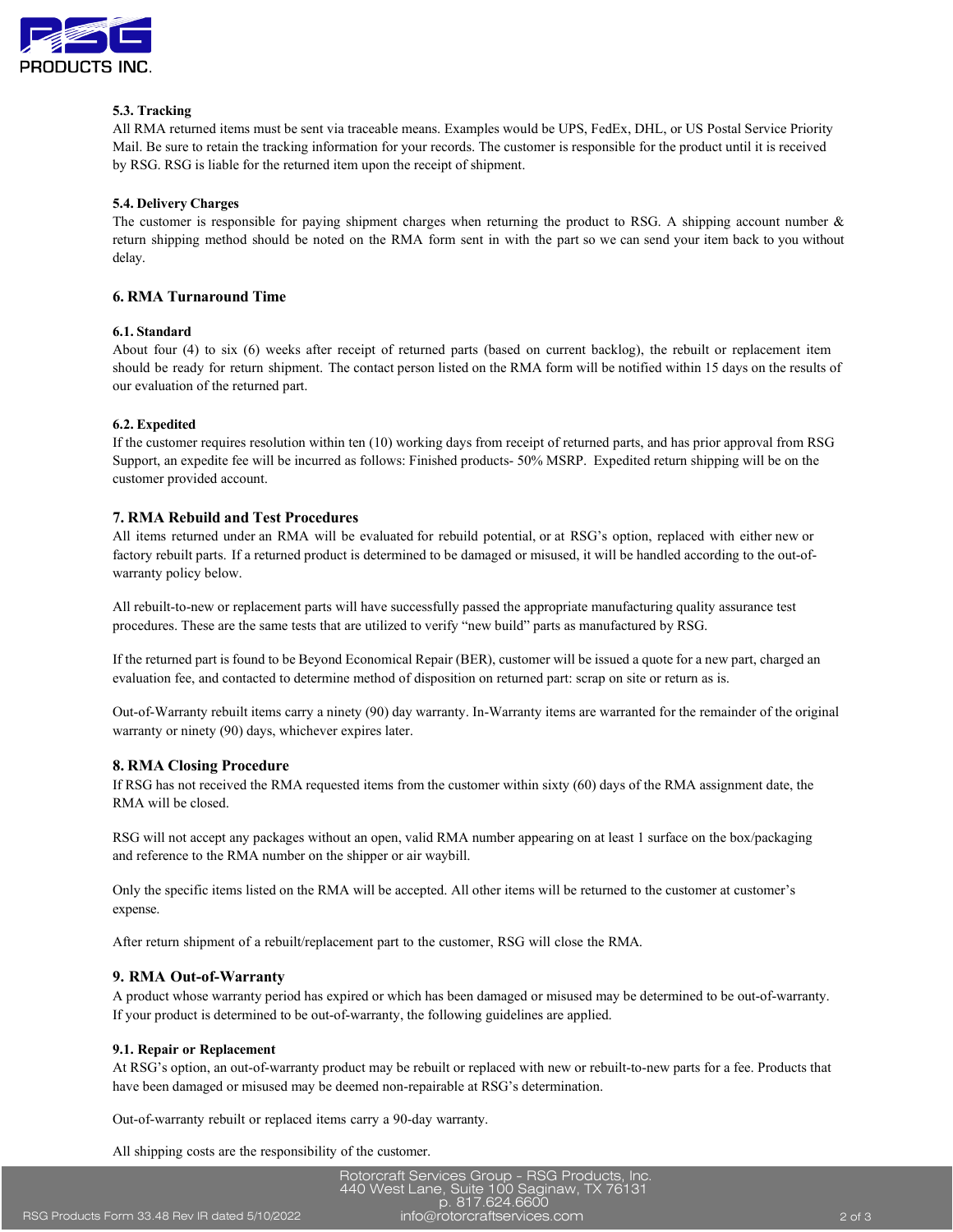

# **5.3. Tracking**

All RMA returned items must be sent via traceable means. Examples would be UPS, FedEx, DHL, or US Postal Service Priority Mail. Be sure to retain the tracking information for your records. The customer is responsible for the product until it is received by RSG. RSG is liable for the returned item upon the receipt of shipment.

#### **5.4. Delivery Charges**

The customer is responsible for paying shipment charges when returning the product to RSG. A shipping account number & return shipping method should be noted on the RMA form sent in with the part so we can send your item back to you without delay.

# **6. RMA Turnaround Time**

#### **6.1. Standard**

About four (4) to six (6) weeks after receipt of returned parts (based on current backlog), the rebuilt or replacement item should be ready for return shipment. The contact person listed on the RMA form will be notified within 15 days on the results of our evaluation of the returned part.

### **6.2. Expedited**

If the customer requires resolution within ten (10) working days from receipt of returned parts, and has prior approval from RSG Support, an expedite fee will be incurred as follows: Finished products- 50% MSRP. Expedited return shipping will be on the customer provided account.

# **7. RMA Rebuild and Test Procedures**

All items returned under an RMA will be evaluated for rebuild potential, or at RSG's option, replaced with either new or factory rebuilt parts. If a returned product is determined to be damaged or misused, it will be handled according to the out-ofwarranty policy below.

All rebuilt-to-new or replacement parts will have successfully passed the appropriate manufacturing quality assurance test procedures. These are the same tests that are utilized to verify "new build" parts as manufactured by RSG.

If the returned part is found to be Beyond Economical Repair (BER), customer will be issued a quote for a new part, charged an evaluation fee, and contacted to determine method of disposition on returned part: scrap on site or return as is.

Out-of-Warranty rebuilt items carry a ninety (90) day warranty. In-Warranty items are warranted for the remainder of the original warranty or ninety (90) days, whichever expires later.

#### **8. RMA Closing Procedure**

If RSG has not received the RMA requested items from the customer within sixty (60) days of the RMA assignment date, the RMA will be closed.

RSG will not accept any packages without an open, valid RMA number appearing on at least 1 surface on the box/packaging and reference to the RMA number on the shipper or air waybill.

Only the specific items listed on the RMA will be accepted. All other items will be returned to the customer at customer's expense.

After return shipment of a rebuilt/replacement part to the customer, RSG will close the RMA.

#### **9. RMA Out-of-Warranty**

A product whose warranty period has expired or which has been damaged or misused may be determined to be out-of-warranty. If your product is determined to be out-of-warranty, the following guidelines are applied.

#### **9.1. Repair or Replacement**

At RSG's option, an out-of-warranty product may be rebuilt or replaced with new or rebuilt-to-new parts for a fee. Products that have been damaged or misused may be deemed non-repairable at RSG's determination.

Out-of-warranty rebuilt or replaced items carry a 90-day warranty.

All shipping costs are the responsibility of the customer.